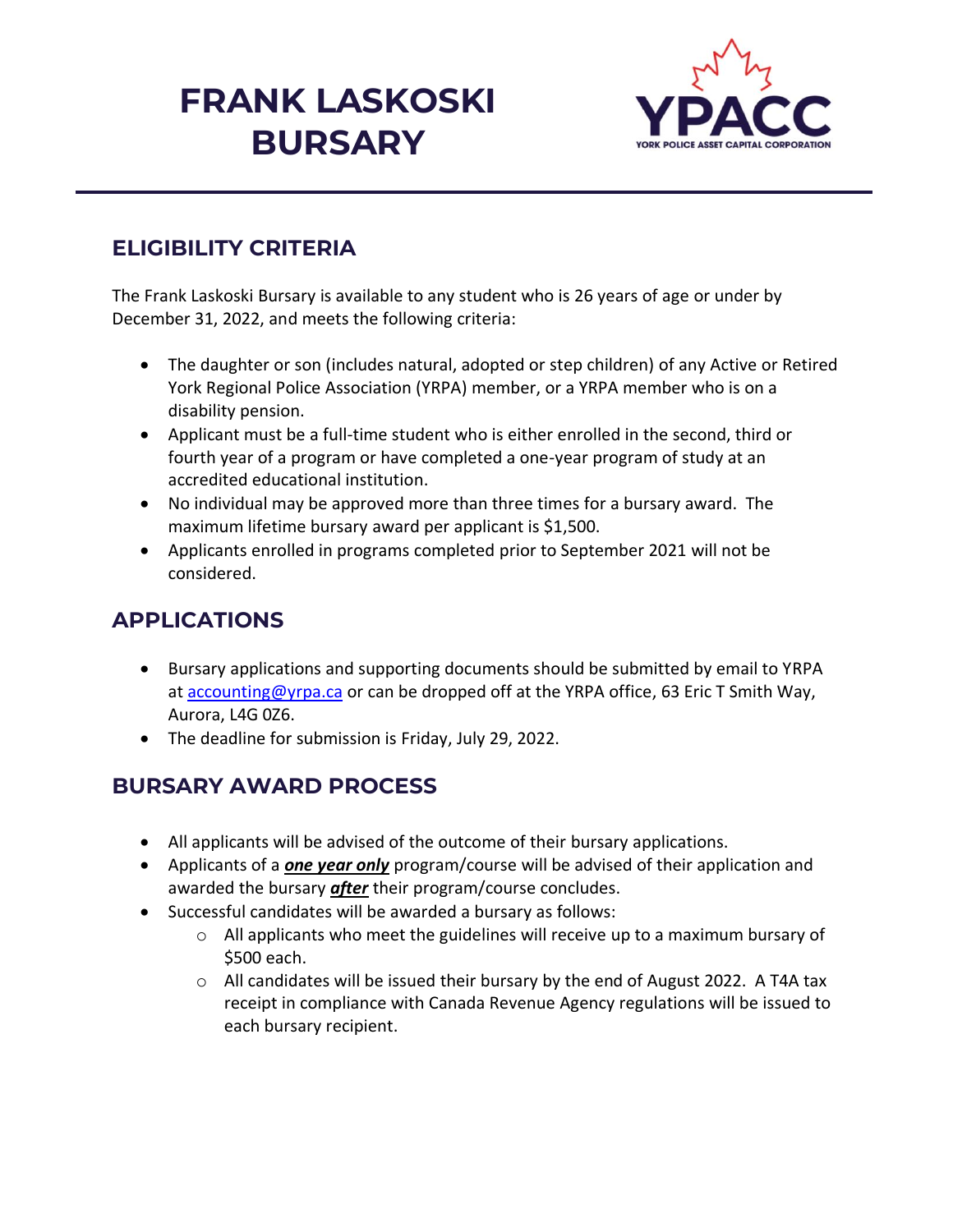# **FRANK LASKOSKI BURSARY**



#### **ELIGIBILITY CRITERIA**

The Frank Laskoski Bursary is available to any student who is 26 years of age or under by December 31, 2022, and meets the following criteria:

- The daughter or son (includes natural, adopted or step children) of any Active or Retired York Regional Police Association (YRPA) member, or a YRPA member who is on a disability pension.
- Applicant must be a full-time student who is either enrolled in the second, third or fourth year of a program or have completed a one-year program of study at an accredited educational institution.
- No individual may be approved more than three times for a bursary award. The maximum lifetime bursary award per applicant is \$1,500.
- Applicants enrolled in programs completed prior to September 2021 will not be considered.

### **APPLICATIONS**

- Bursary applications and supporting documents should be submitted by email to YRPA at [accounting@yrpa.ca](mailto:accounting@yrpa.ca) or can be dropped off at the YRPA office, 63 Eric T Smith Way, Aurora, L4G 0Z6.
- The deadline for submission is Friday, July 29, 2022.

#### **BURSARY AWARD PROCESS**

- All applicants will be advised of the outcome of their bursary applications.
- Applicants of a *one year only* program/course will be advised of their application and awarded the bursary *after* their program/course concludes.
- Successful candidates will be awarded a bursary as follows:
	- $\circ$  All applicants who meet the guidelines will receive up to a maximum bursary of \$500 each.
	- $\circ$  All candidates will be issued their bursary by the end of August 2022. A T4A tax receipt in compliance with Canada Revenue Agency regulations will be issued to each bursary recipient.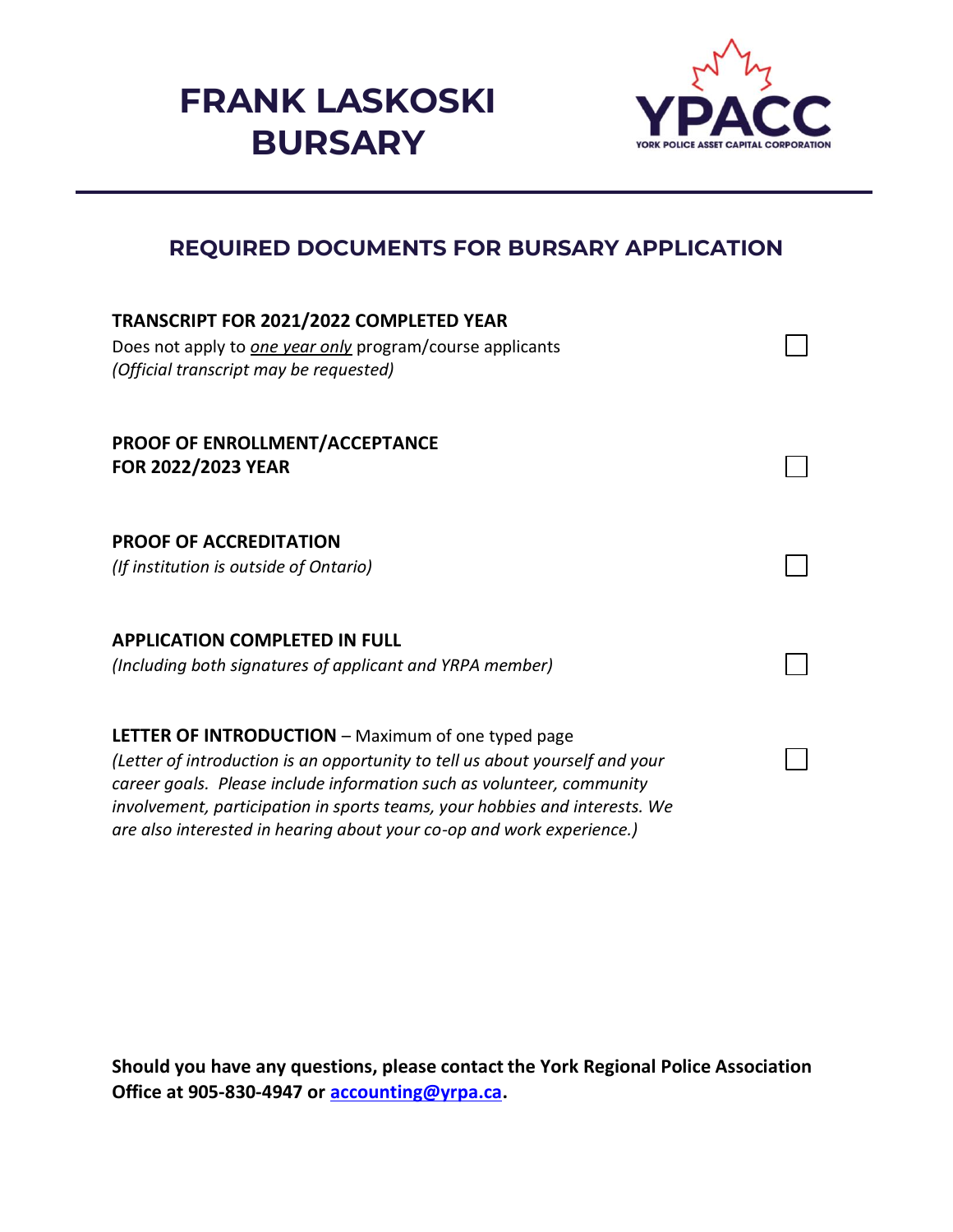## **FRANK LASKOSKI BURSARY**



#### **REQUIRED DOCUMENTS FOR BURSARY APPLICATION**

| <b>TRANSCRIPT FOR 2021/2022 COMPLETED YEAR</b><br>Does not apply to one year only program/course applicants<br>(Official transcript may be requested)                                                                                                                                                                                                                     |  |
|---------------------------------------------------------------------------------------------------------------------------------------------------------------------------------------------------------------------------------------------------------------------------------------------------------------------------------------------------------------------------|--|
| <b>PROOF OF ENROLLMENT/ACCEPTANCE</b><br><b>FOR 2022/2023 YEAR</b>                                                                                                                                                                                                                                                                                                        |  |
| <b>PROOF OF ACCREDITATION</b><br>(If institution is outside of Ontario)                                                                                                                                                                                                                                                                                                   |  |
| <b>APPLICATION COMPLETED IN FULL</b><br>(Including both signatures of applicant and YRPA member)                                                                                                                                                                                                                                                                          |  |
| <b>LETTER OF INTRODUCTION</b> – Maximum of one typed page<br>(Letter of introduction is an opportunity to tell us about yourself and your<br>career goals. Please include information such as volunteer, community<br>involvement, participation in sports teams, your hobbies and interests. We<br>are also interested in hearing about your co-op and work experience.) |  |

**Should you have any questions, please contact the York Regional Police Association Office at 905-830-4947 or [accounting@yrpa.ca.](mailto:accounting@yrpa.ca)**